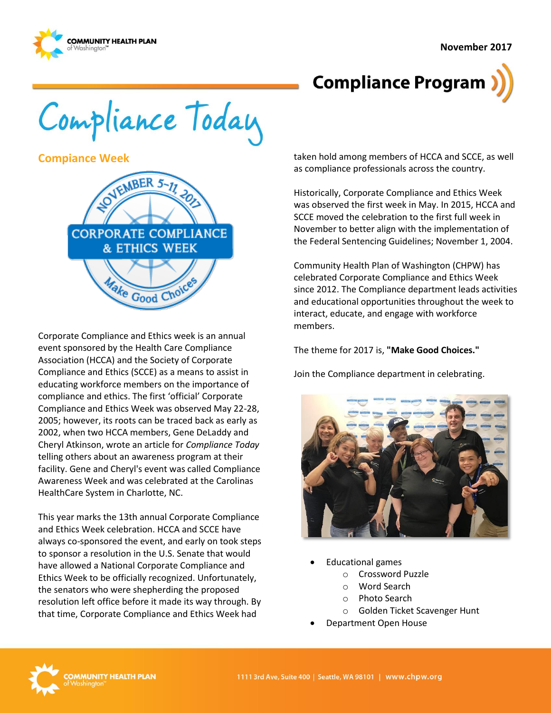

# **Compliance Program**

Compliance Today

**Compiance Week**



Corporate Compliance and Ethics week is an annual event sponsored by the Health Care Compliance Association (HCCA) and the Society of Corporate Compliance and Ethics (SCCE) as a means to assist in educating workforce members on the importance of compliance and ethics. The first 'official' Corporate Compliance and Ethics Week was observed May 22-28, 2005; however, its roots can be traced back as early as 2002, when two HCCA members, Gene DeLaddy and Cheryl Atkinson, wrote an article for *Compliance Today* telling others about an awareness program at their facility. Gene and Cheryl's event was called Compliance Awareness Week and was celebrated at the Carolinas HealthCare System in Charlotte, NC.

This year marks the 13th annual Corporate Compliance and Ethics Week celebration. HCCA and SCCE have always co-sponsored the event, and early on took steps to sponsor a resolution in the U.S. Senate that would have allowed a National Corporate Compliance and Ethics Week to be officially recognized. Unfortunately, the senators who were shepherding the proposed resolution left office before it made its way through. By that time, Corporate Compliance and Ethics Week had

taken hold among members of HCCA and SCCE, as well as compliance professionals across the country.

Historically, Corporate Compliance and Ethics Week was observed the first week in May. In 2015, HCCA and SCCE moved the celebration to the first full week in November to better align with the implementation of the Federal Sentencing Guidelines; November 1, 2004.

Community Health Plan of Washington (CHPW) has celebrated Corporate Compliance and Ethics Week since 2012. The Compliance department leads activities and educational opportunities throughout the week to interact, educate, and engage with workforce members.

The theme for 2017 is, **"Make Good Choices."**

Join the Compliance department in celebrating.



- Educational games
	- o Crossword Puzzle
	- o Word Search
	- o Photo Search
	- o Golden Ticket Scavenger Hunt
- Department Open House

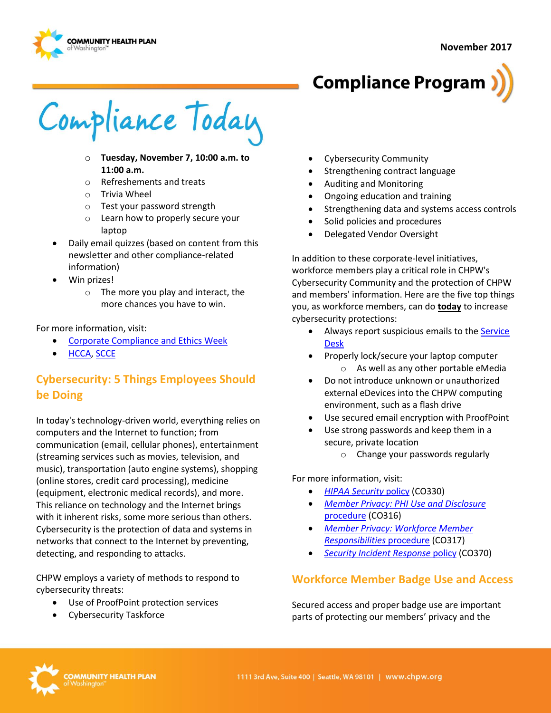



Compliance Today

- o **Tuesday, November 7, 10:00 a.m. to 11:00 a.m.**
- o Refreshements and treats
- o Trivia Wheel
- o Test your password strength
- o Learn how to properly secure your laptop
- Daily email quizzes (based on content from this newsletter and other compliance-related information)
- Win prizes!
	- o The more you play and interact, the more chances you have to win.

#### For more information, visit:

- [Corporate Compliance and Ethics Week](http://www.hcca-info.org/Products/CorporateComplianceEthicsWeek.aspx)
- [HCCA,](http://www.hcca-info.org/) [SCCE](http://www.corporatecompliance.org/)

# **Cybersecurity: 5 Things Employees Should be Doing**

In today's technology-driven world, everything relies on computers and the Internet to function; from communication (email, cellular phones), entertainment (streaming services such as movies, television, and music), transportation (auto engine systems), shopping (online stores, credit card processing), medicine (equipment, electronic medical records), and more. This reliance on technology and the Internet brings with it inherent risks, some more serious than others. Cybersecurity is the protection of data and systems in networks that connect to the Internet by preventing, detecting, and responding to attacks.

CHPW employs a variety of methods to respond to cybersecurity threats:

- Use of ProofPoint protection services
- Cybersecurity Taskforce
- Cybersecurity Community
- Strengthening contract language
- Auditing and Monitoring
- Ongoing education and training
- Strengthening data and systems access controls
- Solid policies and procedures
- Delegated Vendor Oversight

In addition to these corporate-level initiatives, workforce members play a critical role in CHPW's Cybersecurity Community and the protection of CHPW and members' information. Here are the five top things you, as workforce members, can do **today** to increase cybersecurity protections:

- Always report suspicious emails to the **Service** [Desk](mailto:service.desk@chpw.org)
- Properly lock/secure your laptop computer o As well as any other portable eMedia
- Do not introduce unknown or unauthorized external eDevices into the CHPW computing environment, such as a flash drive
- Use secured email encryption with ProofPoint
- Use strong passwords and keep them in a secure, private location
	- o Change your passwords regularly

For more information, visit:

- *[HIPAA Security](http://chpsp/PP/Compliance/HIPAA%20Security%20Policy%20-%20CO330.pdf)* policy (CO330)
- *[Member Privacy: PHI Use and Disclosure](http://chpsp/PP/Compliance/Member%20Privacy-PHI%20Use%20and%20Disclosure%20Procedure%20-%20CO316.pdf)* [procedure](http://chpsp/PP/Compliance/Member%20Privacy-PHI%20Use%20and%20Disclosure%20Procedure%20-%20CO316.pdf) (CO316)
- *[Member Privacy: Workforce Member](http://chpsp/PP/Compliance/Member%20Privacy-Workforce%20Member%20Responsibilities%20Procedure%20-%20CO317.pdf)  [Responsibilities](http://chpsp/PP/Compliance/Member%20Privacy-Workforce%20Member%20Responsibilities%20Procedure%20-%20CO317.pdf)* procedure (CO317)
- **[Security Incident Response](http://chpsp/PP/Compliance/Security%20Incident%20Response%20Policy%20-%20CO370.pdf) policy (CO370)**

## **Workforce Member Badge Use and Access**

Secured access and proper badge use are important parts of protecting our members' privacy and the

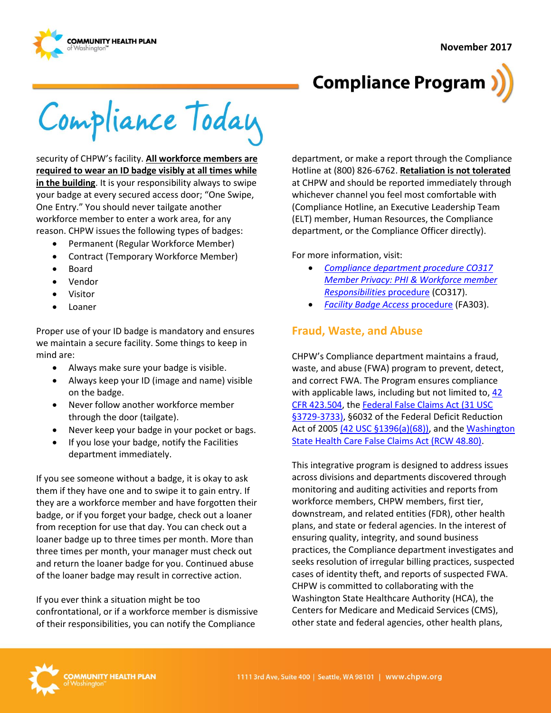



Compliance Today

security of CHPW's facility. **All workforce members are required to wear an ID badge visibly at all times while in the building**. It is your responsibility always to swipe your badge at every secured access door; "One Swipe, One Entry." You should never tailgate another workforce member to enter a work area, for any reason. CHPW issues the following types of badges:

- Permanent (Regular Workforce Member)
- Contract (Temporary Workforce Member)
- Board
- Vendor
- Visitor
- Loaner

Proper use of your ID badge is mandatory and ensures we maintain a secure facility. Some things to keep in mind are:

- Always make sure your badge is visible.
- Always keep your ID (image and name) visible on the badge.
- Never follow another workforce member through the door (tailgate).
- Never keep your badge in your pocket or bags.
- If you lose your badge, notify the Facilities department immediately.

If you see someone without a badge, it is okay to ask them if they have one and to swipe it to gain entry. If they are a workforce member and have forgotten their badge, or if you forget your badge, check out a loaner from reception for use that day. You can check out a loaner badge up to three times per month. More than three times per month, your manager must check out and return the loaner badge for you. Continued abuse of the loaner badge may result in corrective action.

If you ever think a situation might be too confrontational, or if a workforce member is dismissive of their responsibilities, you can notify the Compliance

department, or make a report through the Compliance Hotline at (800) 826-6762. **Retaliation is not tolerated** at CHPW and should be reported immediately through whichever channel you feel most comfortable with (Compliance Hotline, an Executive Leadership Team (ELT) member, Human Resources, the Compliance department, or the Compliance Officer directly).

For more information, visit:

- *[Compliance department procedure CO317](http://chpsp/PP/Compliance/Member%20Privacy-Workforce%20Member%20Responsibilities%20Procedure%20-%20CO317.pdf)  [Member Privacy: PHI & Workforce member](http://chpsp/PP/Compliance/Member%20Privacy-Workforce%20Member%20Responsibilities%20Procedure%20-%20CO317.pdf)  [Responsibilities](http://chpsp/PP/Compliance/Member%20Privacy-Workforce%20Member%20Responsibilities%20Procedure%20-%20CO317.pdf)* procedure (CO317).
- *[Facility Badge Access](http://chpsp/PP/Facilities/Facility%20Badge%20Access%20Procedure%20-%20FA303.pdf)* procedure (FA303).

#### **Fraud, Waste, and Abuse**

CHPW's Compliance department maintains a fraud, waste, and abuse (FWA) program to prevent, detect, and correct FWA. The Program ensures compliance with applicable laws, including but not limited to, 42 [CFR 423.504,](http://www.ecfr.gov/cgi-bin/text-idx?rgn=div5&node=42:3.0.1.1.10#se42.3.423_1504) th[e Federal False Claims Act \(31 USC](http://uscode.house.gov/view.xhtml?req=false+claims+act&f=treesort&fq=true&num=138&hl=true&edition=prelim&granuleId=USC-prelim-title31-section3729)  [§3729-3733\),](http://uscode.house.gov/view.xhtml?req=false+claims+act&f=treesort&fq=true&num=138&hl=true&edition=prelim&granuleId=USC-prelim-title31-section3729) §6032 of the Federal Deficit Reduction Act of 2005 (42 USC [§1396\(a\)\(68\)\),](http://uscode.house.gov/view.xhtml?req=(title:42%20section:1396%20edition:prelim)%20OR%20(granuleid:USC-prelim-title42-section1396)&f=treesort&edition=prelim&num=0&jumpTo=true) and the Washington [State Health Care False Claims Act \(RCW 48.80\).](http://apps.leg.wa.gov/rcw/default.aspx?cite=48.80&full=true)

This integrative program is designed to address issues across divisions and departments discovered through monitoring and auditing activities and reports from workforce members, CHPW members, first tier, downstream, and related entities (FDR), other health plans, and state or federal agencies. In the interest of ensuring quality, integrity, and sound business practices, the Compliance department investigates and seeks resolution of irregular billing practices, suspected cases of identity theft, and reports of suspected FWA. CHPW is committed to collaborating with the Washington State Healthcare Authority (HCA), the Centers for Medicare and Medicaid Services (CMS), other state and federal agencies, other health plans,

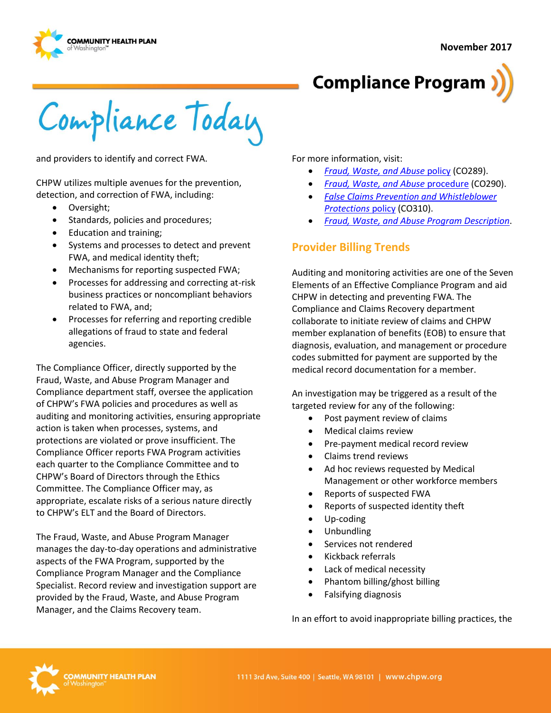



Compliance Today

and providers to identify and correct FWA.

CHPW utilizes multiple avenues for the prevention, detection, and correction of FWA, including:

- Oversight;
- Standards, policies and procedures;
- Education and training;
- Systems and processes to detect and prevent FWA, and medical identity theft;
- Mechanisms for reporting suspected FWA;
- Processes for addressing and correcting at-risk business practices or noncompliant behaviors related to FWA, and;
- Processes for referring and reporting credible allegations of fraud to state and federal agencies.

The Compliance Officer, directly supported by the Fraud, Waste, and Abuse Program Manager and Compliance department staff, oversee the application of CHPW's FWA policies and procedures as well as auditing and monitoring activities, ensuring appropriate action is taken when processes, systems, and protections are violated or prove insufficient. The Compliance Officer reports FWA Program activities each quarter to the Compliance Committee and to CHPW's Board of Directors through the Ethics Committee. The Compliance Officer may, as appropriate, escalate risks of a serious nature directly to CHPW's ELT and the Board of Directors.

The Fraud, Waste, and Abuse Program Manager manages the day-to-day operations and administrative aspects of the FWA Program, supported by the Compliance Program Manager and the Compliance Specialist. Record review and investigation support are provided by the Fraud, Waste, and Abuse Program Manager, and the Claims Recovery team.

For more information, visit:

- *[Fraud, Waste, and Abuse](http://chpsp/PP/Compliance/Fraud,%20Waste,%20and%20Abuse%20Policy%20-%20CO289.pdf)* policy (CO289).
- *[Fraud, Waste, and Abuse](http://chpsp/PP/Compliance/Fraud,%20Waste,%20and%20Abuse%20Procedure%20-%20CO290.pdf)* procedure (CO290).
- *[False Claims Prevention and Whistleblower](http://chpsp/PP/Compliance/False%20Claims%20Prevention%20and%20Whistleblower%20Protections%20Policy%20-%20CO310.pdf)  [Protections](http://chpsp/PP/Compliance/False%20Claims%20Prevention%20and%20Whistleblower%20Protections%20Policy%20-%20CO310.pdf)* policy (CO310).
- *[Fraud, Waste, and Abuse Program Description](http://chpsp/PP/Compliance/Fraud,%20Waste,%20and%20Abuse%20Program%20Description%20-%20CO-PROG3.pdf)*.

### **Provider Billing Trends**

Auditing and monitoring activities are one of the Seven Elements of an Effective Compliance Program and aid CHPW in detecting and preventing FWA. The Compliance and Claims Recovery department collaborate to initiate review of claims and CHPW member explanation of benefits (EOB) to ensure that diagnosis, evaluation, and management or procedure codes submitted for payment are supported by the medical record documentation for a member.

An investigation may be triggered as a result of the targeted review for any of the following:

- Post payment review of claims
- Medical claims review
- Pre-payment medical record review
- Claims trend reviews
- Ad hoc reviews requested by Medical Management or other workforce members
- Reports of suspected FWA
- Reports of suspected identity theft
- Up-coding
- Unbundling
- Services not rendered
- Kickback referrals
- Lack of medical necessity
- Phantom billing/ghost billing
- Falsifying diagnosis

In an effort to avoid inappropriate billing practices, the

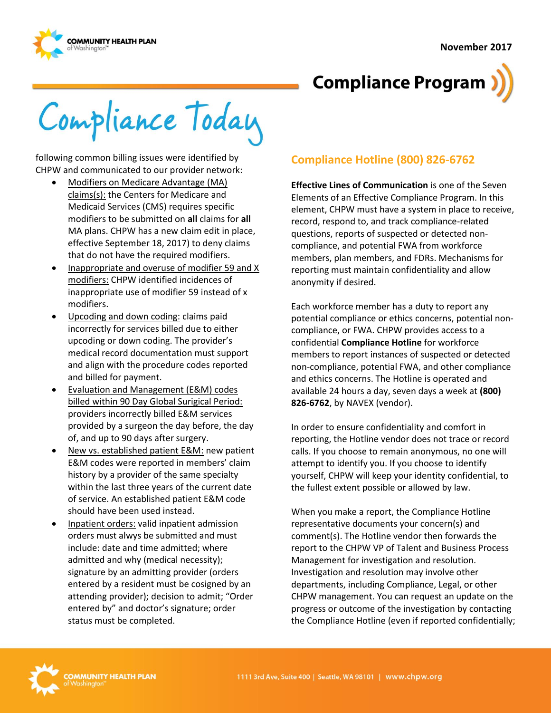



Compliance Today

following common billing issues were identified by CHPW and communicated to our provider network:

- Modifiers on Medicare Advantage (MA) claims(s): the Centers for Medicare and Medicaid Services (CMS) requires specific modifiers to be submitted on **all** claims for **all** MA plans. CHPW has a new claim edit in place, effective September 18, 2017) to deny claims that do not have the required modifiers.
- Inappropriate and overuse of modifier 59 and X modifiers: CHPW identified incidences of inappropriate use of modifier 59 instead of x modifiers.
- Upcoding and down coding: claims paid incorrectly for services billed due to either upcoding or down coding. The provider's medical record documentation must support and align with the procedure codes reported and billed for payment.
- Evaluation and Management (E&M) codes billed within 90 Day Global Surigical Period: providers incorrectly billed E&M services provided by a surgeon the day before, the day of, and up to 90 days after surgery.
- New vs. established patient E&M: new patient E&M codes were reported in members' claim history by a provider of the same specialty within the last three years of the current date of service. An established patient E&M code should have been used instead.
- Inpatient orders: valid inpatient admission orders must alwys be submitted and must include: date and time admitted; where admitted and why (medical necessity); signature by an admitting provider (orders entered by a resident must be cosigned by an attending provider); decision to admit; "Order entered by" and doctor's signature; order status must be completed.

# **Compliance Hotline (800) 826-6762**

**Effective Lines of Communication** is one of the Seven Elements of an Effective Compliance Program. In this element, CHPW must have a system in place to receive, record, respond to, and track compliance-related questions, reports of suspected or detected noncompliance, and potential FWA from workforce members, plan members, and FDRs. Mechanisms for reporting must maintain confidentiality and allow anonymity if desired.

Each workforce member has a duty to report any potential compliance or ethics concerns, potential noncompliance, or FWA. CHPW provides access to a confidential **Compliance Hotline** for workforce members to report instances of suspected or detected non-compliance, potential FWA, and other compliance and ethics concerns. The Hotline is operated and available 24 hours a day, seven days a week at **(800) 826-6762**, by NAVEX (vendor).

In order to ensure confidentiality and comfort in reporting, the Hotline vendor does not trace or record calls. If you choose to remain anonymous, no one will attempt to identify you. If you choose to identify yourself, CHPW will keep your identity confidential, to the fullest extent possible or allowed by law.

When you make a report, the Compliance Hotline representative documents your concern(s) and comment(s). The Hotline vendor then forwards the report to the CHPW VP of Talent and Business Process Management for investigation and resolution. Investigation and resolution may involve other departments, including Compliance, Legal, or other CHPW management. You can request an update on the progress or outcome of the investigation by contacting the Compliance Hotline (even if reported confidentially;